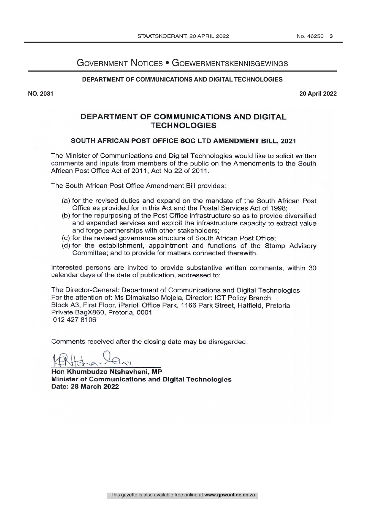## Government Notices • Goewermentskennisgewings

#### **DEPARTMENT OF COMMUNICATIONS AND DIGITAL TECHNOLOGIES**

**NO. 2031 20 April 2022**

## **DEPARTMENT OF COMMUNICATIONS AND DIGITAL TECHNOLOGIES**

## SOUTH AFRICAN POST OFFICE SOC LTD AMENDMENT BILL, 2021

The Minister of Communications and Digital Technologies would like to solicit written comments and inputs from members of the public on the Amendments to the South African Post Office Act of 2011, Act No 22 of 2011.

The South African Post Office Amendment Bill provides:

- (a) for the revised duties and expand on the mandate of the South African Post Office as provided for in this Act and the Postal Services Act of 1998:
- (b) for the repurposing of the Post Office infrastructure so as to provide diversified and expanded services and exploit the infrastructure capacity to extract value and forge partnerships with other stakeholders:
- (c) for the revised governance structure of South African Post Office;
- (d) for the establishment, appointment and functions of the Stamp Advisory Committee; and to provide for matters connected therewith.

Interested persons are invited to provide substantive written comments, within 30 calendar days of the date of publication, addressed to:

The Director-General: Department of Communications and Digital Technologies For the attention of: Ms Dimakatso Mojela, Director: ICT Policy Branch Block A3, First Floor, iParioli Office Park, 1166 Park Street, Hatfield, Pretoria Private BagX860, Pretoria, 0001 012 427 8106

Comments received after the closing date may be disregarded.

Hon Khumbudzo Ntshavheni, MP Minister of Communications and Digital Technologies Date: 28 March 2022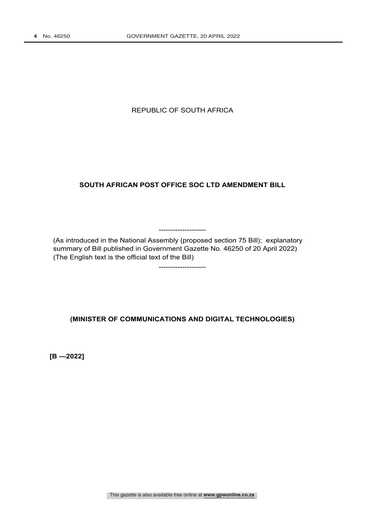## REPUBLIC OF SOUTH AFRICA

## **SOUTH AFRICAN POST OFFICE SOC LTD AMENDMENT BILL**

(As introduced in the National Assembly (proposed section 75 Bill); explanatory summary of Bill published in Government Gazette No. 46250 of 20 April 2022) (The English text is the official text of the Bill)

--------------------

--------------------

## **(MINISTER OF COMMUNICATIONS AND DIGITAL TECHNOLOGIES)**

**[B —2022]**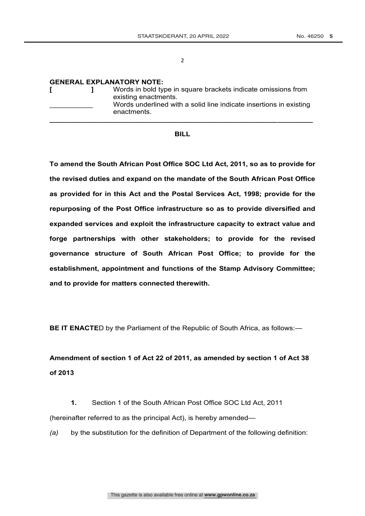#### **GENERAL EXPLANATORY NOTE:**

|  | Words in bold type in square brackets indicate omissions from<br>existing enactments.<br>Words underlined with a solid line indicate insertions in existing<br>enactments. |
|--|----------------------------------------------------------------------------------------------------------------------------------------------------------------------------|
|--|----------------------------------------------------------------------------------------------------------------------------------------------------------------------------|

#### **BILL**

**To amend the South African Post Office SOC Ltd Act, 2011, so as to provide for the revised duties and expand on the mandate of the South African Post Office as provided for in this Act and the Postal Services Act, 1998; provide for the repurposing of the Post Office infrastructure so as to provide diversified and expanded services and exploit the infrastructure capacity to extract value and forge partnerships with other stakeholders; to provide for the revised governance structure of South African Post Office; to provide for the establishment, appointment and functions of the Stamp Advisory Committee; and to provide for matters connected therewith.**

**BE IT ENACTE**D by the Parliament of the Republic of South Africa, as follows:-

# **Amendment of section 1 of Act 22 of 2011, as amended by section 1 of Act 38 of 2013**

**1.** Section 1 of the South African Post Office SOC Ltd Act, 2011 (hereinafter referred to as the principal Act), is hereby amended—

*(a)* by the substitution for the definition of Department of the following definition: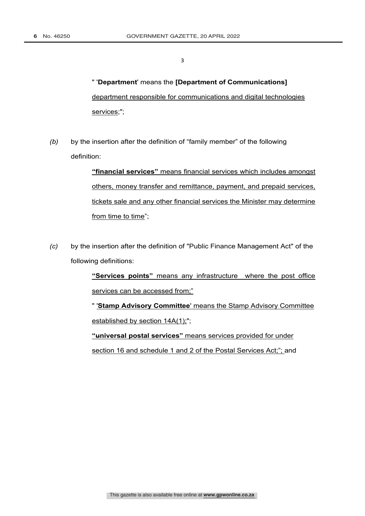" '**Department**' means the **[Department of Communications]** department responsible for communications and digital technologies services;";

*(b)* by the insertion after the definition of "family member" of the following definition:

> **"financial services"** means financial services which includes amongst others, money transfer and remittance, payment, and prepaid services, tickets sale and any other financial services the Minister may determine from time to time";

*(c)* by the insertion after the definition of "Public Finance Management Act" of the following definitions:

> **"Services points"** means any infrastructure where the post office services can be accessed from;"

> " '**Stamp Advisory Committee**' means the Stamp Advisory Committee established by section  $14A(1)$ ;";

**"universal postal services"** means services provided for under section 16 and schedule 1 and 2 of the Postal Services Act;"; and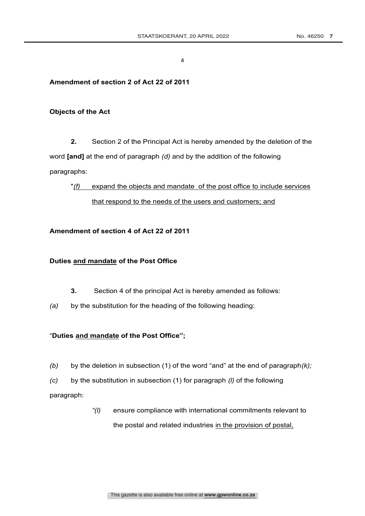## **Amendment of section 2 of Act 22 of 2011**

## **Objects of the Act**

**2.** Section 2 of the Principal Act is hereby amended by the deletion of the word **[and]** at the end of paragraph *(d)* and by the addition of the following paragraphs:

"*(f)* expand the objects and mandate of the post office to include services that respond to the needs of the users and customers; and

## **Amendment of section 4 of Act 22 of 2011**

## **Duties and mandate of the Post Office**

- **3.** Section 4 of the principal Act is hereby amended as follows:
- *(a)* by the substitution for the heading of the following heading:

## "**Duties and mandate of the Post Office";**

- *(b)* by the deletion in subsection (1) of the word "and" at the end of paragraph*(k);*
- *(c)* by the substitution in subsection (1) for paragraph *(l)* of the following

paragraph:

*"(l)* ensure compliance with international commitments relevant to the postal and related industries in the provision of postal,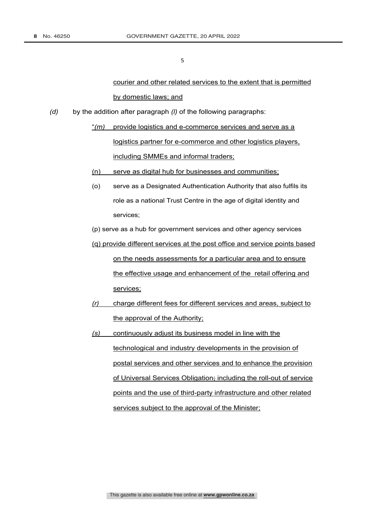courier and other related services to the extent that is permitted by domestic laws; and

- *(d)* by the addition after paragraph *(l)* of the following paragraphs:
	- "*(m)* provide logistics and e-commerce services and serve as a logistics partner for e-commerce and other logistics players, including SMMEs and informal traders;
	- (n) serve as digital hub for businesses and communities;
	- (o) serve as a Designated Authentication Authority that also fulfils its role as a national Trust Centre in the age of digital identity and services;
	- (p) serve as a hub for government services and other agency services
	- (q) provide different services at the post office and service points based on the needs assessments for a particular area and to ensure the effective usage and enhancement of the retail offering and services;
	- *(r)* charge different fees for different services and areas, subject to the approval of the Authority;
	- *(s)* continuously adjust its business model in line with the technological and industry developments in the provision of postal services and other services and to enhance the provision of Universal Services Obligation; including the roll-out of service points and the use of third-party infrastructure and other related services subject to the approval of the Minister;

This gazette is also available free online at **www.gpwonline.co.za**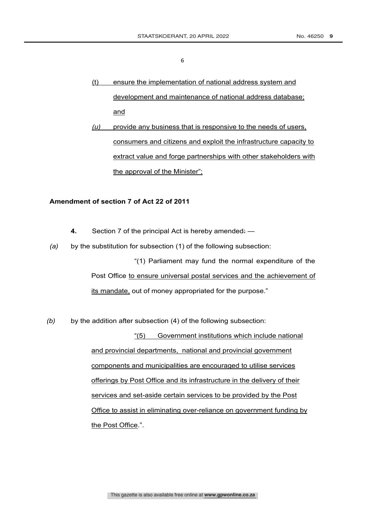- (t) ensure the implementation of national address system and development and maintenance of national address database; and
- *(u)* provide any business that is responsive to the needs of users, consumers and citizens and exploit the infrastructure capacity to extract value and forge partnerships with other stakeholders with the approval of the Minister";

#### **Amendment of section 7 of Act 22 of 2011**

- **4.** Section 7 of the principal Act is hereby amended: —
- *(a)* by the substitution for subsection (1) of the following subsection:

"(1) Parliament may fund the normal expenditure of the Post Office to ensure universal postal services and the achievement of its mandate, out of money appropriated for the purpose."

*(b)* by the addition after subsection (4) of the following subsection:

"(5) Government institutions which include national and provincial departments, national and provincial government components and municipalities are encouraged to utilise services offerings by Post Office and its infrastructure in the delivery of their services and set-aside certain services to be provided by the Post Office to assist in eliminating over-reliance on government funding by the Post Office.".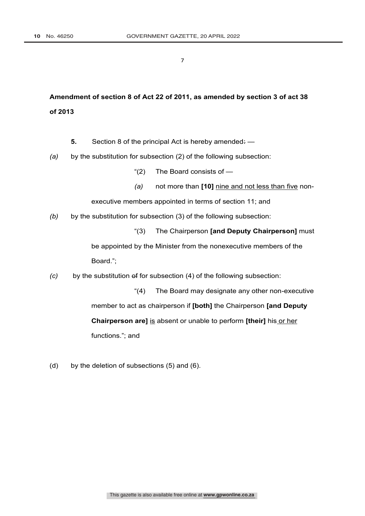# **Amendment of section 8 of Act 22 of 2011, as amended by section 3 of act 38 of 2013**

- **5.** Section 8 of the principal Act is hereby amended: —
- *(a)* by the substitution for subsection (2) of the following subsection:
	- "(2) The Board consists of —
	- *(a)* not more than **[10]** nine and not less than five non-

executive members appointed in terms of section 11; and

- *(b)* by the substitution for subsection (3) of the following subsection:
	- "(3) The Chairperson **[and Deputy Chairperson]** must

be appointed by the Minister from the nonexecutive members of the Board.";

*(c)* by the substitution of for subsection (4) of the following subsection:

"(4) The Board may designate any other non-executive member to act as chairperson if **[both]** the Chairperson **[and Deputy Chairperson are]** is absent or unable to perform **[their]** his or her functions."; and

(d) by the deletion of subsections (5) and (6).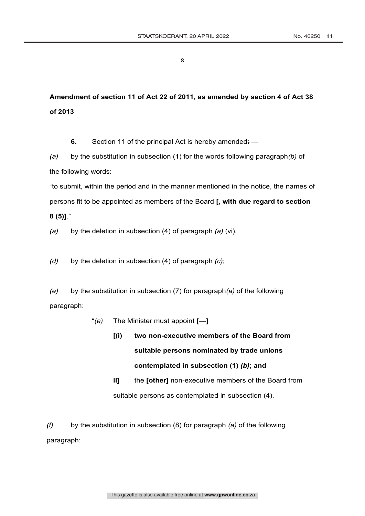**Amendment of section 11 of Act 22 of 2011, as amended by section 4 of Act 38 of 2013**

**6.** Section 11 of the principal Act is hereby amended: —

*(a)* by the substitution in subsection (1) for the words following paragraph*(b)* of the following words:

"to submit, within the period and in the manner mentioned in the notice, the names of persons fit to be appointed as members of the Board **[, with due regard to section 8 (5)]**."

*(a)* by the deletion in subsection (4) of paragraph *(a)* (vi).

*(d)* by the deletion in subsection (4) of paragraph *(c)*;

*(e)* by the substitution in subsection (7) for paragraph*(a)* of the following paragraph:

- "*(a)* The Minister must appoint **[**—**]**
	- **[(i) two non-executive members of the Board from suitable persons nominated by trade unions contemplated in subsection (1)** *(b)***; and**
	- **ii]** the **[other]** non-executive members of the Board from suitable persons as contemplated in subsection (4).

*(f)* by the substitution in subsection (8) for paragraph *(a)* of the following paragraph: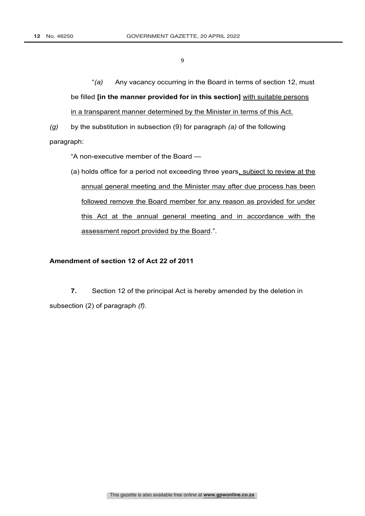"*(a)* Any vacancy occurring in the Board in terms of section 12, must be filled **[in the manner provided for in this section]** with suitable persons in a transparent manner determined by the Minister in terms of this Act.

*(g)* by the substitution in subsection (9) for paragraph *(a)* of the following paragraph:

"A non-executive member of the Board —

(a) holds office for a period not exceeding three years, subject to review at the annual general meeting and the Minister may after due process has been followed remove the Board member for any reason as provided for under this Act at the annual general meeting and in accordance with the assessment report provided by the Board.".

## **Amendment of section 12 of Act 22 of 2011**

**7.** Section 12 of the principal Act is hereby amended by the deletion in subsection (2) of paragraph *(f)*.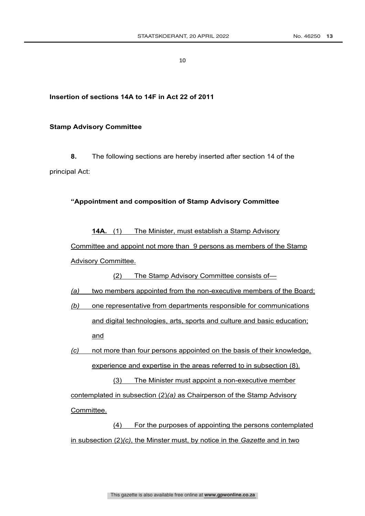## **Insertion of sections 14A to 14F in Act 22 of 2011**

#### **Stamp Advisory Committee**

**8.** The following sections are hereby inserted after section 14 of the principal Act:

#### **"Appointment and composition of Stamp Advisory Committee**

**14A.** (1) The Minister, must establish a Stamp Advisory Committee and appoint not more than 9 persons as members of the Stamp Advisory Committee.

(2) The Stamp Advisory Committee consists of—

#### *(a)* two members appointed from the non-executive members of the Board;

*(b)* one representative from departments responsible for communications and digital technologies, arts, sports and culture and basic education; and

*(c)* not more than four persons appointed on the basis of their knowledge, experience and expertise in the areas referred to in subsection (8).

(3) The Minister must appoint a non-executive member contemplated in subsection (2)*(a)* as Chairperson of the Stamp Advisory Committee.

(4) For the purposes of appointing the persons contemplated in subsection (2)*(c)*, the Minster must, by notice in the *Gazette* and in two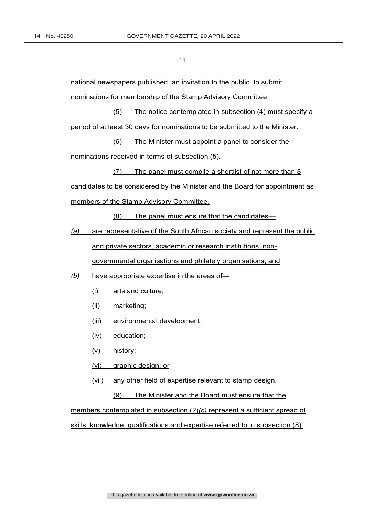national newspapers published ,an invitation to the public to submit nominations for membership of the Stamp Advisory Committee.

(5) The notice contemplated in subsection (4) must specify a period of at least 30 days for nominations to be submitted to the Minister.

(6) The Minister must appoint a panel to consider the nominations received in terms of subsection (5).

(7) The panel must compile a shortlist of not more than 8 candidates to be considered by the Minister and the Board for appointment as members of the Stamp Advisory Committee.

(8) The panel must ensure that the candidates—

*(a)* are representative of the South African society and represent the public

and private sectors, academic or research institutions, non-

governmental organisations and philately organisations; and

*(b)* have appropriate expertise in the areas of—

- (i) arts and culture;
- (ii) marketing;
- (iii) environmental development;
- (iv) education;
- (v) history;
- (vi) graphic design; or
- (vii) any other field of expertise relevant to stamp design.
	- (9) The Minister and the Board must ensure that the

members contemplated in subsection (2)*(c)* represent a sufficient spread of skills, knowledge, qualifications and expertise referred to in subsection (8).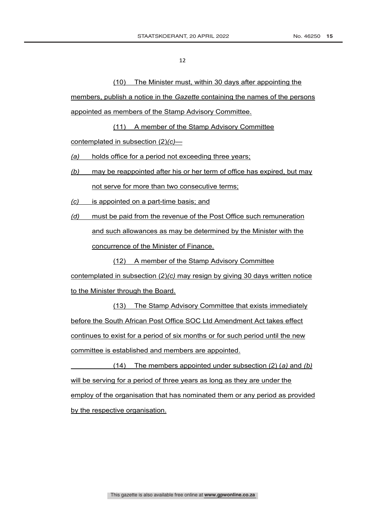(10) The Minister must, within 30 days after appointing the

members, publish a notice in the *Gazette* containing the names of the persons appointed as members of the Stamp Advisory Committee.

(11) A member of the Stamp Advisory Committee contemplated in subsection (2)*(c)*—

*(a)* holds office for a period not exceeding three years;

- *(b)* may be reappointed after his or her term of office has expired, but may not serve for more than two consecutive terms;
- *(c)* is appointed on a part-time basis; and

*(d)* must be paid from the revenue of the Post Office such remuneration and such allowances as may be determined by the Minister with the concurrence of the Minister of Finance.

(12) A member of the Stamp Advisory Committee

contemplated in subsection (2)*(c)* may resign by giving 30 days written notice to the Minister through the Board.

(13) The Stamp Advisory Committee that exists immediately before the South African Post Office SOC Ltd Amendment Act takes effect continues to exist for a period of six months or for such period until the new committee is established and members are appointed.

(14) The members appointed under subsection (2) (*a)* and *(b)*  will be serving for a period of three years as long as they are under the employ of the organisation that has nominated them or any period as provided by the respective organisation.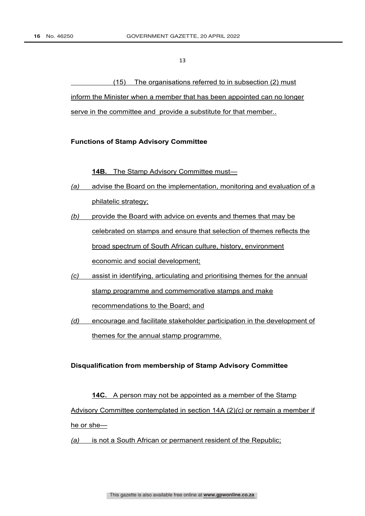(15) The organisations referred to in subsection (2) must inform the Minister when a member that has been appointed can no longer serve in the committee and provide a substitute for that member..

#### **Functions of Stamp Advisory Committee**

**14B.** The Stamp Advisory Committee must—

- *(a)* advise the Board on the implementation, monitoring and evaluation of a philatelic strategy;
- *(b)* provide the Board with advice on events and themes that may be celebrated on stamps and ensure that selection of themes reflects the broad spectrum of South African culture, history, environment economic and social development;
- *(c)* assist in identifying, articulating and prioritising themes for the annual stamp programme and commemorative stamps and make recommendations to the Board; and
- *(d)* encourage and facilitate stakeholder participation in the development of themes for the annual stamp programme.

## **Disqualification from membership of Stamp Advisory Committee**

# **14C.** A person may not be appointed as a member of the Stamp Advisory Committee contemplated in section 14A (2)*(c)* or remain a member if he or she—

*(a)* is not a South African or permanent resident of the Republic;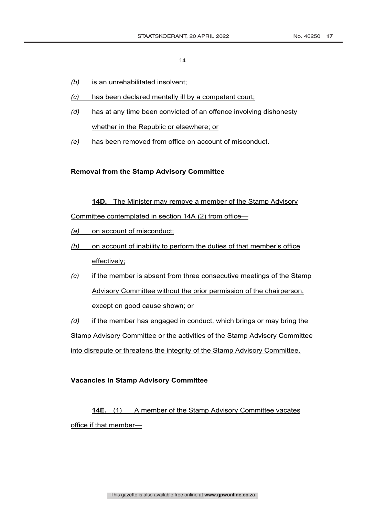- *(b)* is an unrehabilitated insolvent;
- *(c)* has been declared mentally ill by a competent court;
- *(d)* has at any time been convicted of an offence involving dishonesty whether in the Republic or elsewhere; or
- *(e)* has been removed from office on account of misconduct.

**Removal from the Stamp Advisory Committee**

**14D.** The Minister may remove a member of the Stamp Advisory

Committee contemplated in section 14A (2) from office—

- *(a)* on account of misconduct;
- *(b)* on account of inability to perform the duties of that member's office effectively;
- *(c)* if the member is absent from three consecutive meetings of the Stamp Advisory Committee without the prior permission of the chairperson, except on good cause shown; or

*(d)* if the member has engaged in conduct, which brings or may bring the Stamp Advisory Committee or the activities of the Stamp Advisory Committee into disrepute or threatens the integrity of the Stamp Advisory Committee.

## **Vacancies in Stamp Advisory Committee**

**14E.** (1) A member of the Stamp Advisory Committee vacates office if that member—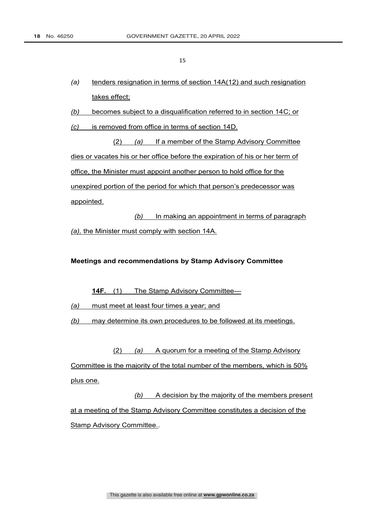- *(a)* tenders resignation in terms of section 14A(12) and such resignation takes effect;
- *(b)* becomes subject to a disqualification referred to in section 14C; or
- *(c)* is removed from office in terms of section 14D.

(2) *(a)* If a member of the Stamp Advisory Committee dies or vacates his or her office before the expiration of his or her term of office, the Minister must appoint another person to hold office for the unexpired portion of the period for which that person's predecessor was appointed.

*(b)* In making an appointment in terms of paragraph *(a),* the Minister must comply with section 14A.

## **Meetings and recommendations by Stamp Advisory Committee**

**14F.** (1) The Stamp Advisory Committee—

*(a)* must meet at least four times a year; and

*(b)* may determine its own procedures to be followed at its meetings.

(2) *(a)* A quorum for a meeting of the Stamp Advisory Committee is the majority of the total number of the members, which is 50% plus one.

*(b)* A decision by the majority of the members present at a meeting of the Stamp Advisory Committee constitutes a decision of the Stamp Advisory Committee..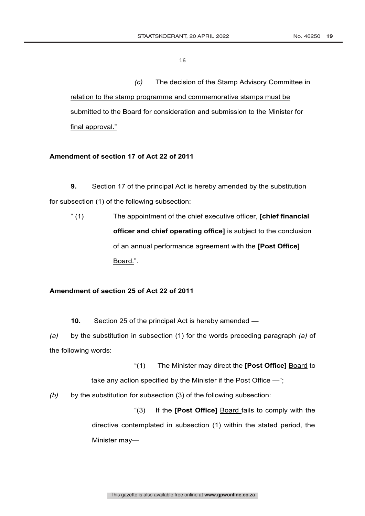*(c)* The decision of the Stamp Advisory Committee in

relation to the stamp programme and commemorative stamps must be submitted to the Board for consideration and submission to the Minister for final approval."

## **Amendment of section 17 of Act 22 of 2011**

**9.** Section 17 of the principal Act is hereby amended by the substitution for subsection (1) of the following subsection:

" (1) The appointment of the chief executive officer, **[chief financial officer and chief operating office]** is subject to the conclusion of an annual performance agreement with the **[Post Office]** Board.".

#### **Amendment of section 25 of Act 22 of 2011**

**10.** Section 25 of the principal Act is hereby amended —

*(a)* by the substitution in subsection (1) for the words preceding paragraph *(a)* of the following words:

"(1) The Minister may direct the **[Post Office]** Board to

take any action specified by the Minister if the Post Office -";

*(b)* by the substitution for subsection (3) of the following subsection:

"(3) If the **[Post Office]** Board fails to comply with the directive contemplated in subsection (1) within the stated period, the Minister may—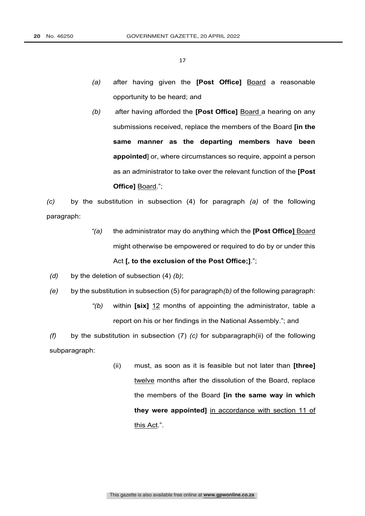- *(a)* after having given the **[Post Office]** Board a reasonable opportunity to be heard; and
- *(b)* after having afforded the **[Post Office]** Board a hearing on any submissions received, replace the members of the Board **[in the same manner as the departing members have been appointed**] or, where circumstances so require, appoint a person as an administrator to take over the relevant function of the **[Post Office]** Board.";

*(c)* by the substitution in subsection (4) for paragraph *(a)* of the following paragraph:

- *"(a)* the administrator may do anything which the **[Post Office]** Board might otherwise be empowered or required to do by or under this Act **[, to the exclusion of the Post Office;]**.";
- *(d)* by the deletion of subsection (4) *(b)*;
- *(e)* by the substitution in subsection (5) for paragraph*(b)* of the following paragraph:
	- *"(b)* within **[six]** 12 months of appointing the administrator, table a report on his or her findings in the National Assembly."; and

*(f)* by the substitution in subsection (7) *(c)* for subparagraph(ii) of the following subparagraph:

> (ii) must, as soon as it is feasible but not later than **[three]** twelve months after the dissolution of the Board, replace the members of the Board **[in the same way in which they were appointed]** in accordance with section 11 of this Act.".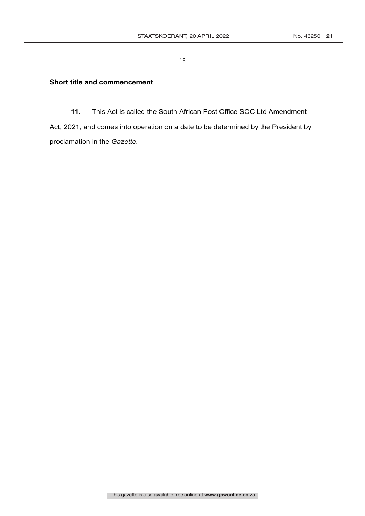## **Short title and commencement**

**11.** This Act is called the South African Post Office SOC Ltd Amendment

Act, 2021, and comes into operation on a date to be determined by the President by proclamation in the *Gazette.*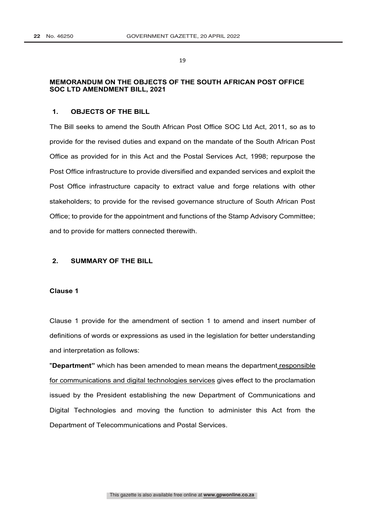## **MEMORANDUM ON THE OBJECTS OF THE SOUTH AFRICAN POST OFFICE SOC LTD AMENDMENT BILL, 2021**

## **1. OBJECTS OF THE BILL**

The Bill seeks to amend the South African Post Office SOC Ltd Act, 2011, so as to provide for the revised duties and expand on the mandate of the South African Post Office as provided for in this Act and the Postal Services Act, 1998; repurpose the Post Office infrastructure to provide diversified and expanded services and exploit the Post Office infrastructure capacity to extract value and forge relations with other stakeholders; to provide for the revised governance structure of South African Post Office; to provide for the appointment and functions of the Stamp Advisory Committee; and to provide for matters connected therewith.

## **2. SUMMARY OF THE BILL**

#### **Clause 1**

Clause 1 provide for the amendment of section 1 to amend and insert number of definitions of words or expressions as used in the legislation for better understanding and interpretation as follows:

"**Department"** which has been amended to mean means the department responsible for communications and digital technologies services gives effect to the proclamation issued by the President establishing the new Department of Communications and Digital Technologies and moving the function to administer this Act from the Department of Telecommunications and Postal Services.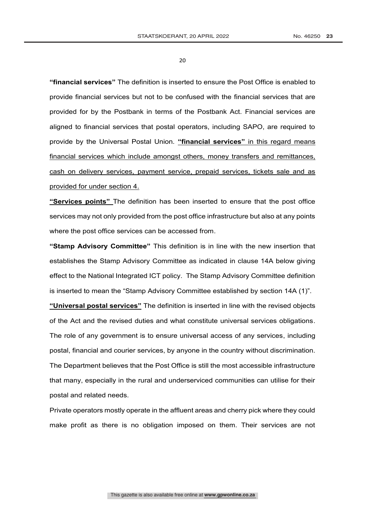**"financial services"** The definition is inserted to ensure the Post Office is enabled to provide financial services but not to be confused with the financial services that are provided for by the Postbank in terms of the Postbank Act. Financial services are aligned to financial services that postal operators, including SAPO, are required to provide by the Universal Postal Union. **"financial services"** in this regard means financial services which include amongst others, money transfers and remittances, cash on delivery services, payment service, prepaid services, tickets sale and as provided for under section 4.

**"Services points"** The definition has been inserted to ensure that the post office services may not only provided from the post office infrastructure but also at any points where the post office services can be accessed from.

**"Stamp Advisory Committee"** This definition is in line with the new insertion that establishes the Stamp Advisory Committee as indicated in clause 14A below giving effect to the National Integrated ICT policy. The Stamp Advisory Committee definition is inserted to mean the "Stamp Advisory Committee established by section 14A (1)".

**"Universal postal services"** The definition is inserted in line with the revised objects of the Act and the revised duties and what constitute universal services obligations. The role of any government is to ensure universal access of any services, including postal, financial and courier services, by anyone in the country without discrimination. The Department believes that the Post Office is still the most accessible infrastructure that many, especially in the rural and underserviced communities can utilise for their postal and related needs.

Private operators mostly operate in the affluent areas and cherry pick where they could make profit as there is no obligation imposed on them. Their services are not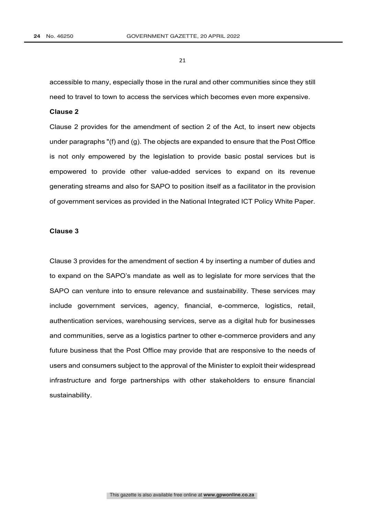accessible to many, especially those in the rural and other communities since they still need to travel to town to access the services which becomes even more expensive.

#### **Clause 2**

Clause 2 provides for the amendment of section 2 of the Act, to insert new objects under paragraphs "(f) and (g). The objects are expanded to ensure that the Post Office is not only empowered by the legislation to provide basic postal services but is empowered to provide other value-added services to expand on its revenue generating streams and also for SAPO to position itself as a facilitator in the provision of government services as provided in the National Integrated ICT Policy White Paper.

#### **Clause 3**

Clause 3 provides for the amendment of section 4 by inserting a number of duties and to expand on the SAPO's mandate as well as to legislate for more services that the SAPO can venture into to ensure relevance and sustainability. These services may include government services, agency, financial, e-commerce, logistics, retail, authentication services, warehousing services, serve as a digital hub for businesses and communities, serve as a logistics partner to other e-commerce providers and any future business that the Post Office may provide that are responsive to the needs of users and consumers subject to the approval of the Minister to exploit their widespread infrastructure and forge partnerships with other stakeholders to ensure financial sustainability.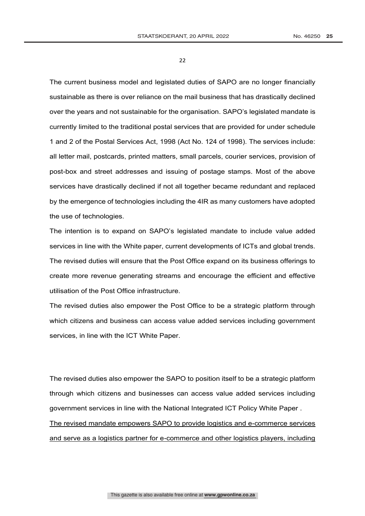The current business model and legislated duties of SAPO are no longer financially sustainable as there is over reliance on the mail business that has drastically declined over the years and not sustainable for the organisation. SAPO's legislated mandate is currently limited to the traditional postal services that are provided for under schedule 1 and 2 of the Postal Services Act, 1998 (Act No. 124 of 1998). The services include: all letter mail, postcards, printed matters, small parcels, courier services, provision of post-box and street addresses and issuing of postage stamps. Most of the above services have drastically declined if not all together became redundant and replaced by the emergence of technologies including the 4IR as many customers have adopted the use of technologies.

The intention is to expand on SAPO's legislated mandate to include value added services in line with the White paper, current developments of ICTs and global trends. The revised duties will ensure that the Post Office expand on its business offerings to create more revenue generating streams and encourage the efficient and effective utilisation of the Post Office infrastructure.

The revised duties also empower the Post Office to be a strategic platform through which citizens and business can access value added services including government services, in line with the ICT White Paper.

The revised duties also empower the SAPO to position itself to be a strategic platform through which citizens and businesses can access value added services including government services in line with the National Integrated ICT Policy White Paper . The revised mandate empowers SAPO to provide logistics and e-commerce services and serve as a logistics partner for e-commerce and other logistics players, including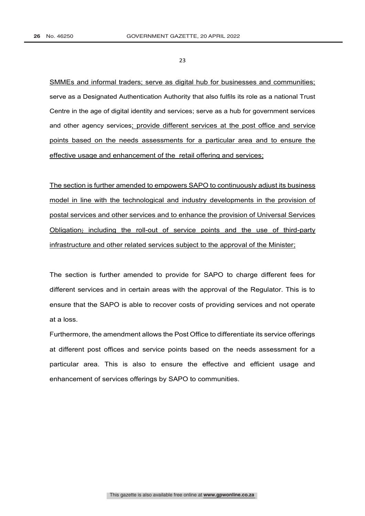SMMEs and informal traders; serve as digital hub for businesses and communities; serve as a Designated Authentication Authority that also fulfils its role as a national Trust Centre in the age of digital identity and services; serve as a hub for government services and other agency services; provide different services at the post office and service points based on the needs assessments for a particular area and to ensure the effective usage and enhancement of the retail offering and services;

The section is further amended to empowers SAPO to continuously adjust its business model in line with the technological and industry developments in the provision of postal services and other services and to enhance the provision of Universal Services Obligation; including the roll-out of service points and the use of third-party infrastructure and other related services subject to the approval of the Minister;

The section is further amended to provide for SAPO to charge different fees for different services and in certain areas with the approval of the Regulator. This is to ensure that the SAPO is able to recover costs of providing services and not operate at a loss.

Furthermore, the amendment allows the Post Office to differentiate its service offerings at different post offices and service points based on the needs assessment for a particular area. This is also to ensure the effective and efficient usage and enhancement of services offerings by SAPO to communities.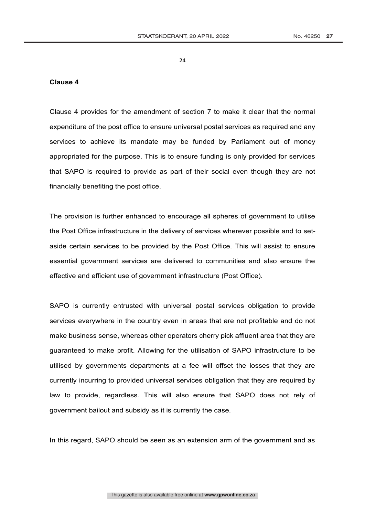#### **Clause 4**

Clause 4 provides for the amendment of section 7 to make it clear that the normal expenditure of the post office to ensure universal postal services as required and any services to achieve its mandate may be funded by Parliament out of money appropriated for the purpose. This is to ensure funding is only provided for services that SAPO is required to provide as part of their social even though they are not financially benefiting the post office.

The provision is further enhanced to encourage all spheres of government to utilise the Post Office infrastructure in the delivery of services wherever possible and to setaside certain services to be provided by the Post Office. This will assist to ensure essential government services are delivered to communities and also ensure the effective and efficient use of government infrastructure (Post Office).

SAPO is currently entrusted with universal postal services obligation to provide services everywhere in the country even in areas that are not profitable and do not make business sense, whereas other operators cherry pick affluent area that they are guaranteed to make profit. Allowing for the utilisation of SAPO infrastructure to be utilised by governments departments at a fee will offset the losses that they are currently incurring to provided universal services obligation that they are required by law to provide, regardless. This will also ensure that SAPO does not rely of government bailout and subsidy as it is currently the case.

In this regard, SAPO should be seen as an extension arm of the government and as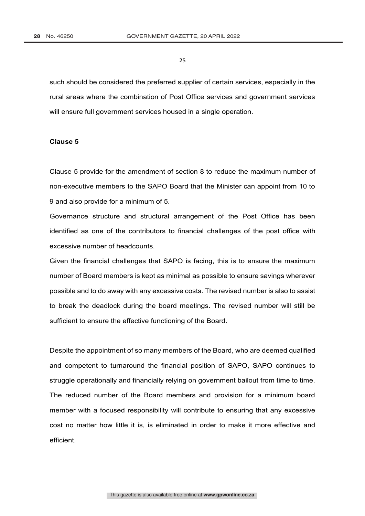such should be considered the preferred supplier of certain services, especially in the rural areas where the combination of Post Office services and government services will ensure full government services housed in a single operation.

#### **Clause 5**

Clause 5 provide for the amendment of section 8 to reduce the maximum number of non-executive members to the SAPO Board that the Minister can appoint from 10 to 9 and also provide for a minimum of 5.

Governance structure and structural arrangement of the Post Office has been identified as one of the contributors to financial challenges of the post office with excessive number of headcounts.

Given the financial challenges that SAPO is facing, this is to ensure the maximum number of Board members is kept as minimal as possible to ensure savings wherever possible and to do away with any excessive costs. The revised number is also to assist to break the deadlock during the board meetings. The revised number will still be sufficient to ensure the effective functioning of the Board.

Despite the appointment of so many members of the Board, who are deemed qualified and competent to turnaround the financial position of SAPO, SAPO continues to struggle operationally and financially relying on government bailout from time to time. The reduced number of the Board members and provision for a minimum board member with a focused responsibility will contribute to ensuring that any excessive cost no matter how little it is, is eliminated in order to make it more effective and efficient.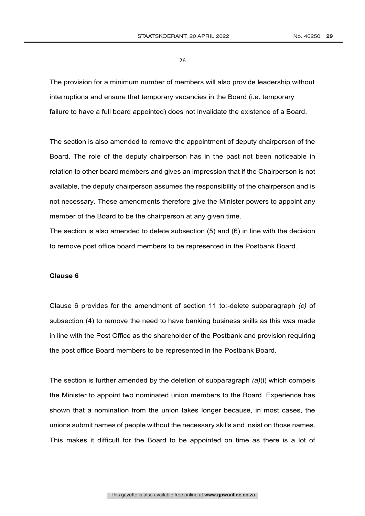The provision for a minimum number of members will also provide leadership without interruptions and ensure that temporary vacancies in the Board (i.e. temporary failure to have a full board appointed) does not invalidate the existence of a Board.

The section is also amended to remove the appointment of deputy chairperson of the Board. The role of the deputy chairperson has in the past not been noticeable in relation to other board members and gives an impression that if the Chairperson is not available, the deputy chairperson assumes the responsibility of the chairperson and is not necessary. These amendments therefore give the Minister powers to appoint any member of the Board to be the chairperson at any given time.

The section is also amended to delete subsection (5) and (6) in line with the decision to remove post office board members to be represented in the Postbank Board.

## **Clause 6**

Clause 6 provides for the amendment of section 11 to:-delete subparagraph *(c)* of subsection (4) to remove the need to have banking business skills as this was made in line with the Post Office as the shareholder of the Postbank and provision requiring the post office Board members to be represented in the Postbank Board.

The section is further amended by the deletion of subparagraph *(a)*(i) which compels the Minister to appoint two nominated union members to the Board. Experience has shown that a nomination from the union takes longer because, in most cases, the unions submit names of people without the necessary skills and insist on those names. This makes it difficult for the Board to be appointed on time as there is a lot of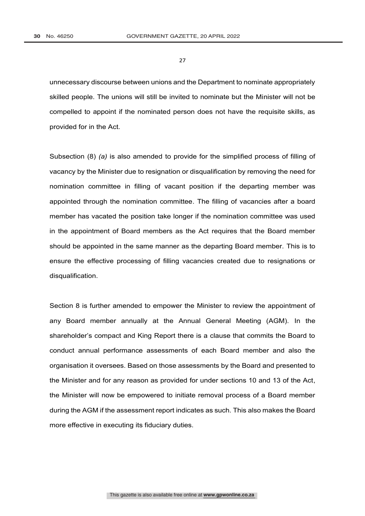unnecessary discourse between unions and the Department to nominate appropriately skilled people. The unions will still be invited to nominate but the Minister will not be compelled to appoint if the nominated person does not have the requisite skills, as provided for in the Act.

Subsection (8) *(a)* is also amended to provide for the simplified process of filling of vacancy by the Minister due to resignation or disqualification by removing the need for nomination committee in filling of vacant position if the departing member was appointed through the nomination committee. The filling of vacancies after a board member has vacated the position take longer if the nomination committee was used in the appointment of Board members as the Act requires that the Board member should be appointed in the same manner as the departing Board member. This is to ensure the effective processing of filling vacancies created due to resignations or disqualification.

Section 8 is further amended to empower the Minister to review the appointment of any Board member annually at the Annual General Meeting (AGM). In the shareholder's compact and King Report there is a clause that commits the Board to conduct annual performance assessments of each Board member and also the organisation it oversees. Based on those assessments by the Board and presented to the Minister and for any reason as provided for under sections 10 and 13 of the Act, the Minister will now be empowered to initiate removal process of a Board member during the AGM if the assessment report indicates as such. This also makes the Board more effective in executing its fiduciary duties.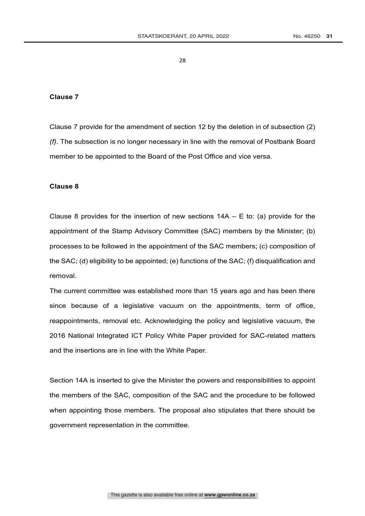#### **Clause 7**

Clause 7 provide for the amendment of section 12 by the deletion in of subsection (2) *(f)*. The subsection is no longer necessary in line with the removal of Postbank Board member to be appointed to the Board of the Post Office and vice versa.

#### **Clause 8**

Clause 8 provides for the insertion of new sections  $14A - E$  to: (a) provide for the appointment of the Stamp Advisory Committee (SAC) members by the Minister; (b) processes to be followed in the appointment of the SAC members; (c) composition of the SAC; (d) eligibility to be appointed; (e) functions of the SAC; (f) disqualification and removal.

The current committee was established more than 15 years ago and has been there since because of a legislative vacuum on the appointments, term of office, reappointments, removal etc. Acknowledging the policy and legislative vacuum, the 2016 National Integrated ICT Policy White Paper provided for SAC-related matters and the insertions are in line with the White Paper.

Section 14A is inserted to give the Minister the powers and responsibilities to appoint the members of the SAC, composition of the SAC and the procedure to be followed when appointing those members. The proposal also stipulates that there should be government representation in the committee.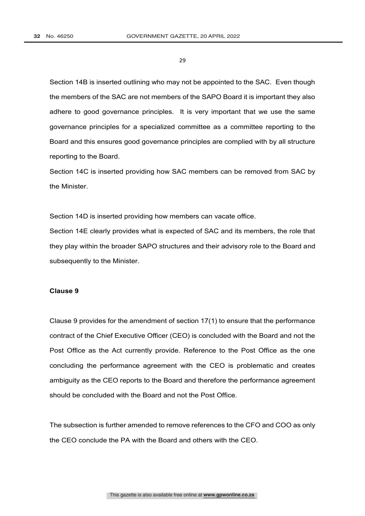Section 14B is inserted outlining who may not be appointed to the SAC. Even though the members of the SAC are not members of the SAPO Board it is important they also adhere to good governance principles. It is very important that we use the same governance principles for a specialized committee as a committee reporting to the Board and this ensures good governance principles are complied with by all structure reporting to the Board.

Section 14C is inserted providing how SAC members can be removed from SAC by the Minister.

Section 14D is inserted providing how members can vacate office.

Section 14E clearly provides what is expected of SAC and its members, the role that they play within the broader SAPO structures and their advisory role to the Board and subsequently to the Minister.

#### **Clause 9**

Clause 9 provides for the amendment of section 17(1) to ensure that the performance contract of the Chief Executive Officer (CEO) is concluded with the Board and not the Post Office as the Act currently provide. Reference to the Post Office as the one concluding the performance agreement with the CEO is problematic and creates ambiguity as the CEO reports to the Board and therefore the performance agreement should be concluded with the Board and not the Post Office.

The subsection is further amended to remove references to the CFO and COO as only the CEO conclude the PA with the Board and others with the CEO.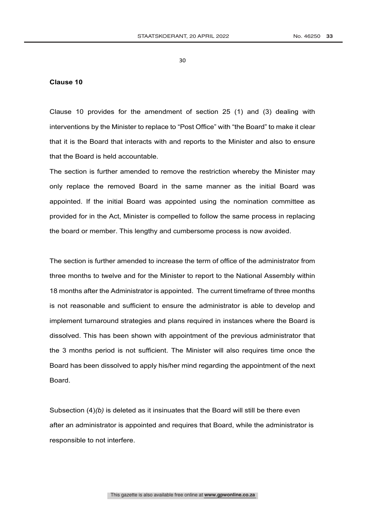#### **Clause 10**

Clause 10 provides for the amendment of section 25 (1) and (3) dealing with interventions by the Minister to replace to "Post Office" with "the Board" to make it clear that it is the Board that interacts with and reports to the Minister and also to ensure that the Board is held accountable.

The section is further amended to remove the restriction whereby the Minister may only replace the removed Board in the same manner as the initial Board was appointed. If the initial Board was appointed using the nomination committee as provided for in the Act, Minister is compelled to follow the same process in replacing the board or member. This lengthy and cumbersome process is now avoided.

The section is further amended to increase the term of office of the administrator from three months to twelve and for the Minister to report to the National Assembly within 18 months after the Administrator is appointed. The current timeframe of three months is not reasonable and sufficient to ensure the administrator is able to develop and implement turnaround strategies and plans required in instances where the Board is dissolved. This has been shown with appointment of the previous administrator that the 3 months period is not sufficient. The Minister will also requires time once the Board has been dissolved to apply his/her mind regarding the appointment of the next **Board** 

Subsection (4)*(b)* is deleted as it insinuates that the Board will still be there even after an administrator is appointed and requires that Board, while the administrator is responsible to not interfere.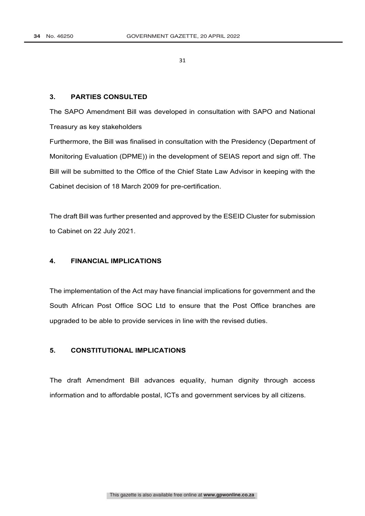#### **3. PARTIES CONSULTED**

The SAPO Amendment Bill was developed in consultation with SAPO and National Treasury as key stakeholders

Furthermore, the Bill was finalised in consultation with the Presidency (Department of Monitoring Evaluation (DPME)) in the development of SEIAS report and sign off. The Bill will be submitted to the Office of the Chief State Law Advisor in keeping with the Cabinet decision of 18 March 2009 for pre-certification.

The draft Bill was further presented and approved by the ESEID Cluster for submission to Cabinet on 22 July 2021.

## **4. FINANCIAL IMPLICATIONS**

The implementation of the Act may have financial implications for government and the South African Post Office SOC Ltd to ensure that the Post Office branches are upgraded to be able to provide services in line with the revised duties.

## **5. CONSTITUTIONAL IMPLICATIONS**

The draft Amendment Bill advances equality, human dignity through access information and to affordable postal, ICTs and government services by all citizens.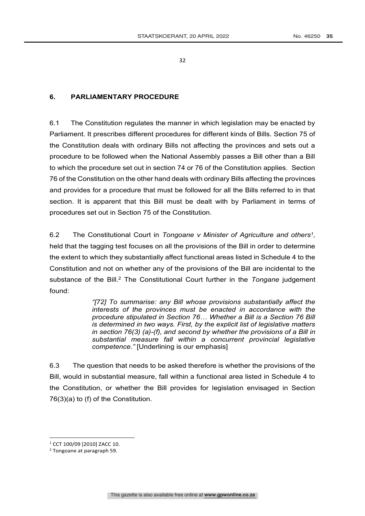## **6. PARLIAMENTARY PROCEDURE**

6.1 The Constitution regulates the manner in which legislation may be enacted by Parliament. It prescribes different procedures for different kinds of Bills. Section 75 of the Constitution deals with ordinary Bills not affecting the provinces and sets out a procedure to be followed when the National Assembly passes a Bill other than a Bill to which the procedure set out in section 74 or 76 of the Constitution applies. Section 76 of the Constitution on the other hand deals with ordinary Bills affecting the provinces and provides for a procedure that must be followed for all the Bills referred to in that section. It is apparent that this Bill must be dealt with by Parliament in terms of procedures set out in Section 75 of the Constitution.

6.2 The Constitutional Court in *Tongoane v Minister of Agriculture and others1,* held that the tagging test focuses on all the provisions of the Bill in order to determine the extent to which they substantially affect functional areas listed in Schedule 4 to the Constitution and not on whether any of the provisions of the Bill are incidental to the substance of the Bill.<sup>2</sup> The Constitutional Court further in the *Tongane* judgement found:

> *"[72] To summarise: any Bill whose provisions substantially affect the interests of the provinces must be enacted in accordance with the procedure stipulated in Section 76… Whether a Bill is a Section 76 Bill is determined in two ways. First, by the explicit list of legislative matters in section 76(3) (a)-(f), and second by whether the provisions of a Bill in substantial measure fall within a concurrent provincial legislative competence."* [Underlining is our emphasis]

6.3 The question that needs to be asked therefore is whether the provisions of the Bill, would in substantial measure, fall within a functional area listed in Schedule 4 to the Constitution, or whether the Bill provides for legislation envisaged in Section 76(3)(a) to (f) of the Constitution.

<sup>1</sup> CCT 100/09 [2010] ZACC 10.

<sup>2</sup> Tongoane at paragraph 59.